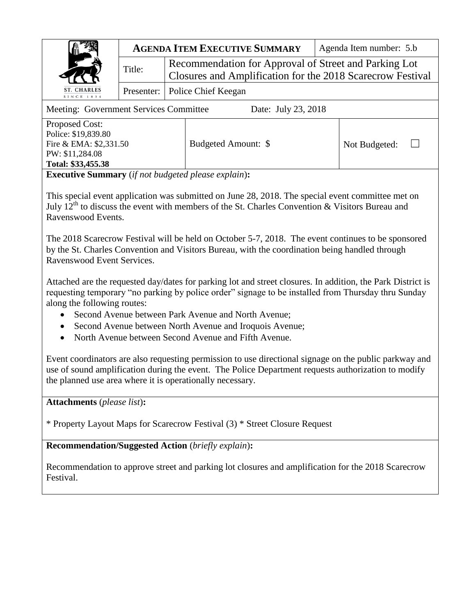|                                                               |                                  | <b>AGENDA ITEM EXECUTIVE SUMMARY</b>                                                                                | Agenda Item number: 5.b |
|---------------------------------------------------------------|----------------------------------|---------------------------------------------------------------------------------------------------------------------|-------------------------|
|                                                               | Title:                           | Recommendation for Approval of Street and Parking Lot<br>Closures and Amplification for the 2018 Scarecrow Festival |                         |
| ST. CHARLES<br>SINCE 1834                                     | Presenter:   Police Chief Keegan |                                                                                                                     |                         |
| Meeting: Government Services Committee<br>Date: July 23, 2018 |                                  |                                                                                                                     |                         |

Proposed Cost: Police: \$19,839.80 Fire & EMA: \$2,331.50 PW: \$11,284.08 **Total: \$33,455.38**

Budgeted Amount: \$ Not Budgeted: □

**Executive Summary** (*if not budgeted please explain*)**:**

This special event application was submitted on June 28, 2018. The special event committee met on July  $12^{th}$  to discuss the event with members of the St. Charles Convention & Visitors Bureau and Ravenswood Events.

The 2018 Scarecrow Festival will be held on October 5-7, 2018. The event continues to be sponsored by the St. Charles Convention and Visitors Bureau, with the coordination being handled through Ravenswood Event Services.

Attached are the requested day/dates for parking lot and street closures. In addition, the Park District is requesting temporary "no parking by police order" signage to be installed from Thursday thru Sunday along the following routes:

- Second Avenue between Park Avenue and North Avenue;
- Second Avenue between North Avenue and Iroquois Avenue;
- North Avenue between Second Avenue and Fifth Avenue.

Event coordinators are also requesting permission to use directional signage on the public parkway and use of sound amplification during the event. The Police Department requests authorization to modify the planned use area where it is operationally necessary.

**Attachments** (*please list*)**:** 

\* Property Layout Maps for Scarecrow Festival (3) \* Street Closure Request

**Recommendation/Suggested Action** (*briefly explain*)**:** 

Recommendation to approve street and parking lot closures and amplification for the 2018 Scarecrow Festival.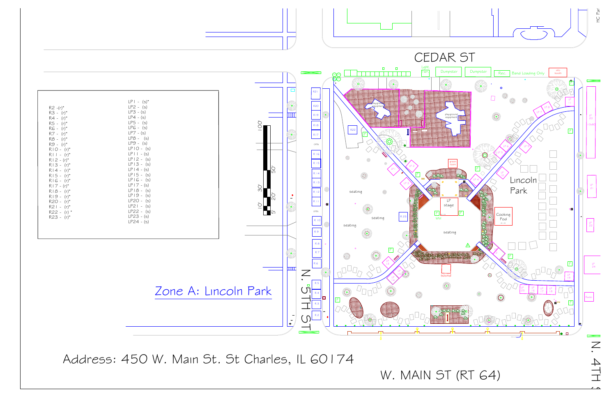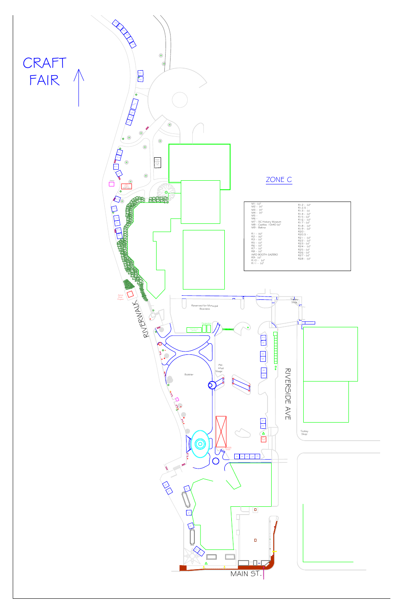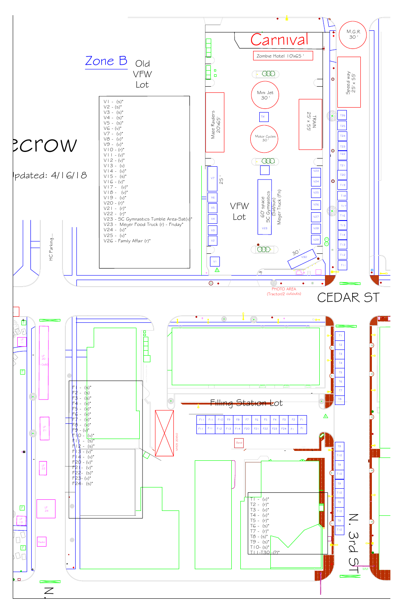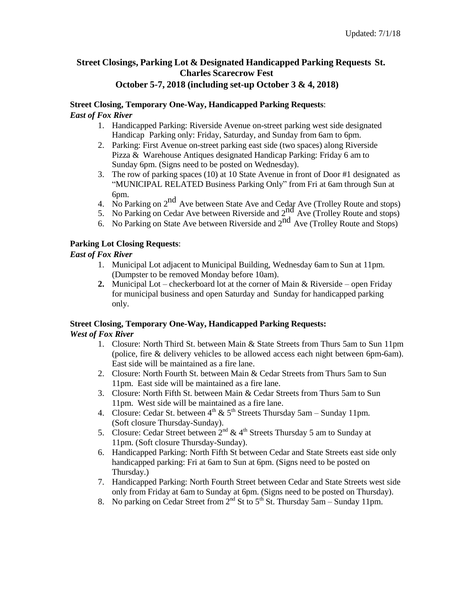# **Street Closings, Parking Lot & Designated Handicapped Parking Requests St. Charles Scarecrow Fest**

# **October 5-7, 2018 (including set-up October 3 & 4, 2018)**

# **Street Closing, Temporary One-Way, Handicapped Parking Requests**:

# *East of Fox River*

- 1. Handicapped Parking: Riverside Avenue on-street parking west side designated Handicap Parking only: Friday, Saturday, and Sunday from 6am to 6pm.
- 2. Parking: First Avenue on-street parking east side (two spaces) along Riverside Pizza & Warehouse Antiques designated Handicap Parking: Friday 6 am to Sunday 6pm. (Signs need to be posted on Wednesday).
- 3. The row of parking spaces (10) at 10 State Avenue in front of Door #1 designated as "MUNICIPAL RELATED Business Parking Only" from Fri at 6am through Sun at 6pm.
- 4. No Parking on  $2<sup>nd</sup>$  Ave between State Ave and Cedar Ave (Trolley Route and stops)
- $5.$  No Parking on  $2^{n}$  Ave between Blue Ave and  $2^{nd}$  Ave (Trolley Route and stops)
- $\overline{6}$ . No Parking on State Ave between Riverside and  $2<sup>nd</sup>$  Ave (Trolley Route and Stops)

# **Parking Lot Closing Requests**:

## *East of Fox River*

- 1. Municipal Lot adjacent to Municipal Building, Wednesday 6am to Sun at 11pm. (Dumpster to be removed Monday before 10am).
- **2.** Municipal Lot checkerboard lot at the corner of Main & Riverside open Friday for municipal business and open Saturday and Sunday for handicapped parking only.

# **Street Closing, Temporary One-Way, Handicapped Parking Requests:**

#### *West of Fox River*

- 1. Closure: North Third St. between Main & State Streets from Thurs 5am to Sun 11pm (police, fire & delivery vehicles to be allowed access each night between 6pm-6am). East side will be maintained as a fire lane.
- 2. Closure: North Fourth St. between Main & Cedar Streets from Thurs 5am to Sun 11pm. East side will be maintained as a fire lane.
- 3. Closure: North Fifth St. between Main & Cedar Streets from Thurs 5am to Sun 11pm. West side will be maintained as a fire lane.
- 4. Closure: Cedar St. between  $4^{th}$  &  $5^{th}$  Streets Thursday 5am Sunday 11pm. (Soft closure Thursday-Sunday).
- 5. Closure: Cedar Street between  $2<sup>nd</sup> \& 4<sup>th</sup>$  Streets Thursday 5 am to Sunday at 11pm. (Soft closure Thursday-Sunday).
- 6. Handicapped Parking: North Fifth St between Cedar and State Streets east side only handicapped parking: Fri at 6am to Sun at 6pm. (Signs need to be posted on Thursday.)
- 7. Handicapped Parking: North Fourth Street between Cedar and State Streets west side only from Friday at 6am to Sunday at 6pm. (Signs need to be posted on Thursday).
- 8. No parking on Cedar Street from  $2^{nd}$  St to  $5^{th}$  St. Thursday 5am Sunday 11pm.